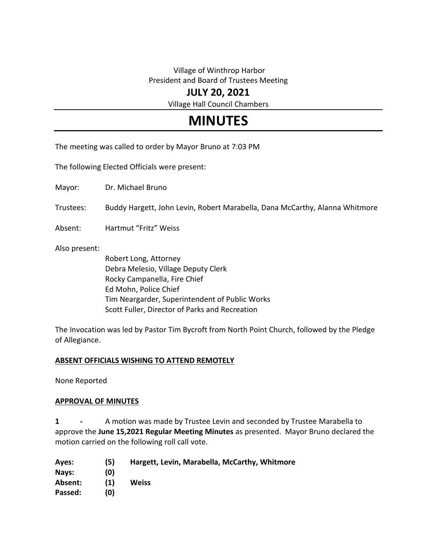## Village of Winthrop Harbor President and Board of Trustees Meeting

## **JULY 20, 2021**

Village Hall Council Chambers

# **MINUTES**

The meeting was called to order by Mayor Bruno at 7:03 PM

The following Elected Officials were present:

Mayor: Dr. Michael Bruno

Trustees: Buddy Hargett, John Levin, Robert Marabella, Dana McCarthy, Alanna Whitmore

Absent: Hartmut "Fritz" Weiss

Also present:

Robert Long, Attorney Debra Melesio, Village Deputy Clerk Rocky Campanella, Fire Chief Ed Mohn, Police Chief Tim Neargarder, Superintendent of Public Works Scott Fuller, Director of Parks and Recreation

The Invocation was led by Pastor Tim Bycroft from North Point Church, followed by the Pledge of Allegiance.

#### **ABSENT OFFICIALS WISHING TO ATTEND REMOTELY**

None Reported

#### **APPROVAL OF MINUTES**

**1 -** A motion was made by Trustee Levin and seconded by Trustee Marabella to approve the **June 15,2021 Regular Meeting Minutes** as presented. Mayor Bruno declared the motion carried on the following roll call vote.

| Ayes:   | (5) | Hargett, Levin, Marabella, McCarthy, Whitmore |
|---------|-----|-----------------------------------------------|
| Navs:   | (0) |                                               |
| Absent: | (1) | Weiss                                         |
| Passed: | (0) |                                               |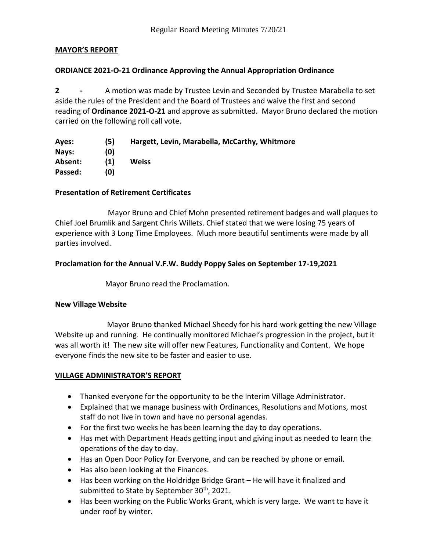## **MAYOR'S REPORT**

## **ORDIANCE 2021-O-21 Ordinance Approving the Annual Appropriation Ordinance**

**2 -** A motion was made by Trustee Levin and Seconded by Trustee Marabella to set aside the rules of the President and the Board of Trustees and waive the first and second reading of **Ordinance 2021-O-21** and approve as submitted. Mayor Bruno declared the motion carried on the following roll call vote.

| Ayes:   | (5) | Hargett, Levin, Marabella, McCarthy, Whitmore |
|---------|-----|-----------------------------------------------|
| Nays:   | (0) |                                               |
| Absent: | (1) | Weiss                                         |
| Passed: | (0) |                                               |

## **Presentation of Retirement Certificates**

 Mayor Bruno and Chief Mohn presented retirement badges and wall plaques to Chief Joel Brumlik and Sargent Chris Willets. Chief stated that we were losing 75 years of experience with 3 Long Time Employees. Much more beautiful sentiments were made by all parties involved.

## **Proclamation for the Annual V.F.W. Buddy Poppy Sales on September 17-19,2021**

Mayor Bruno read the Proclamation.

#### **New Village Website**

Mayor Bruno **t**hanked Michael Sheedy for his hard work getting the new Village Website up and running. He continually monitored Michael's progression in the project, but it was all worth it! The new site will offer new Features, Functionality and Content. We hope everyone finds the new site to be faster and easier to use.

## **VILLAGE ADMINISTRATOR'S REPORT**

- Thanked everyone for the opportunity to be the Interim Village Administrator.
- Explained that we manage business with Ordinances, Resolutions and Motions, most staff do not live in town and have no personal agendas.
- For the first two weeks he has been learning the day to day operations.
- Has met with Department Heads getting input and giving input as needed to learn the operations of the day to day.
- Has an Open Door Policy for Everyone, and can be reached by phone or email.
- Has also been looking at the Finances.
- Has been working on the Holdridge Bridge Grant He will have it finalized and submitted to State by September 30<sup>th</sup>, 2021.
- Has been working on the Public Works Grant, which is very large. We want to have it under roof by winter.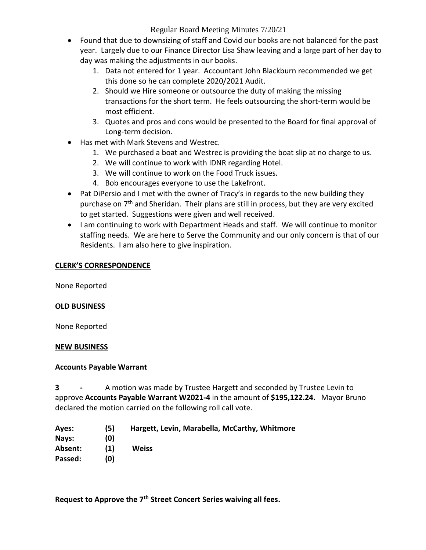- Found that due to downsizing of staff and Covid our books are not balanced for the past year. Largely due to our Finance Director Lisa Shaw leaving and a large part of her day to day was making the adjustments in our books.
	- 1. Data not entered for 1 year. Accountant John Blackburn recommended we get this done so he can complete 2020/2021 Audit.
	- 2. Should we Hire someone or outsource the duty of making the missing transactions for the short term. He feels outsourcing the short-term would be most efficient.
	- 3. Quotes and pros and cons would be presented to the Board for final approval of Long-term decision.
- Has met with Mark Stevens and Westrec.
	- 1. We purchased a boat and Westrec is providing the boat slip at no charge to us.
	- 2. We will continue to work with IDNR regarding Hotel.
	- 3. We will continue to work on the Food Truck issues.
	- 4. Bob encourages everyone to use the Lakefront.
- Pat DiPersio and I met with the owner of Tracy's in regards to the new building they purchase on 7<sup>th</sup> and Sheridan. Their plans are still in process, but they are very excited to get started. Suggestions were given and well received.
- I am continuing to work with Department Heads and staff. We will continue to monitor staffing needs. We are here to Serve the Community and our only concern is that of our Residents. I am also here to give inspiration.

## **CLERK'S CORRESPONDENCE**

None Reported

## **OLD BUSINESS**

None Reported

## **NEW BUSINESS**

## **Accounts Payable Warrant**

**3 -** A motion was made by Trustee Hargett and seconded by Trustee Levin to approve **Accounts Payable Warrant W2021-4** in the amount of **\$195,122.24.** Mayor Bruno declared the motion carried on the following roll call vote.

**Ayes: (5) Hargett, Levin, Marabella, McCarthy, Whitmore Nays: (0) Absent: (1) Weiss Passed: (0)**

**Request to Approve the 7th Street Concert Series waiving all fees.**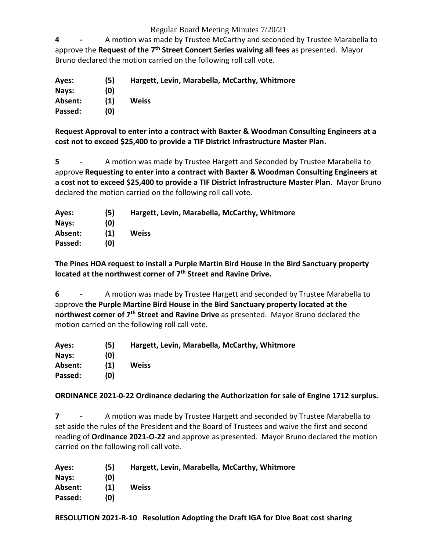**4 -** A motion was made by Trustee McCarthy and seconded by Trustee Marabella to approve the **Request of the 7th Street Concert Series waiving all fees** as presented. Mayor Bruno declared the motion carried on the following roll call vote.

**Ayes: (5) Hargett, Levin, Marabella, McCarthy, Whitmore Nays: (0) Absent: (1) Weiss Passed: (0)**

**Request Approval to enter into a contract with Baxter & Woodman Consulting Engineers at a cost not to exceed \$25,400 to provide a TIF District Infrastructure Master Plan.**

**5 -** A motion was made by Trustee Hargett and Seconded by Trustee Marabella to approve **Requesting to enter into a contract with Baxter & Woodman Consulting Engineers at a cost not to exceed \$25,400 to provide a TIF District Infrastructure Master Plan**. Mayor Bruno declared the motion carried on the following roll call vote.

| Ayes:   | (5) | Hargett, Levin, Marabella, McCarthy, Whitmore |
|---------|-----|-----------------------------------------------|
| Navs:   | (0) |                                               |
| Absent: | (1) | <b>Weiss</b>                                  |
| Passed: | (0) |                                               |

**The Pines HOA request to install a Purple Martin Bird House in the Bird Sanctuary property located at the northwest corner of 7th Street and Ravine Drive.**

**6 -** A motion was made by Trustee Hargett and seconded by Trustee Marabella to approve **the Purple Martine Bird House in the Bird Sanctuary property located at the northwest corner of 7th Street and Ravine Drive** as presented. Mayor Bruno declared the motion carried on the following roll call vote.

| Ayes:   | (5) | Hargett, Levin, Marabella, McCarthy, Whitmore |
|---------|-----|-----------------------------------------------|
| Nays:   | (0) |                                               |
| Absent: | (1) | Weiss                                         |
| Passed: | (0) |                                               |

**ORDINANCE 2021-0-22 Ordinance declaring the Authorization for sale of Engine 1712 surplus.**

**7 -** A motion was made by Trustee Hargett and seconded by Trustee Marabella to set aside the rules of the President and the Board of Trustees and waive the first and second reading of **Ordinance 2021-O-22** and approve as presented. Mayor Bruno declared the motion carried on the following roll call vote.

| Aves:   | (5) | Hargett, Levin, Marabella, McCarthy, Whitmore |
|---------|-----|-----------------------------------------------|
| Nays:   | (0) |                                               |
| Absent: | (1) | Weiss                                         |
| Passed: | (0) |                                               |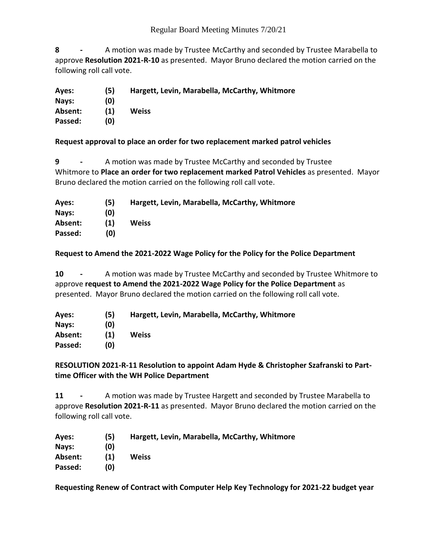**8 -** A motion was made by Trustee McCarthy and seconded by Trustee Marabella to approve **Resolution 2021-R-10** as presented. Mayor Bruno declared the motion carried on the following roll call vote.

- **Ayes: (5) Hargett, Levin, Marabella, McCarthy, Whitmore Nays: (0)**
- **Absent: (1) Weiss**
- **Passed: (0)**

## **Request approval to place an order for two replacement marked patrol vehicles**

**9 -** A motion was made by Trustee McCarthy and seconded by Trustee Whitmore to **Place an order for two replacement marked Patrol Vehicles** as presented. Mayor Bruno declared the motion carried on the following roll call vote.

| Ayes:   | (5) | Hargett, Levin, Marabella, McCarthy, Whitmore |
|---------|-----|-----------------------------------------------|
| Nays:   | (0) |                                               |
| Absent: | (1) | <b>Weiss</b>                                  |
| Passed: | (0) |                                               |

## **Request to Amend the 2021-2022 Wage Policy for the Policy for the Police Department**

**10 -** A motion was made by Trustee McCarthy and seconded by Trustee Whitmore to approve **request to Amend the 2021-2022 Wage Policy for the Police Department** as presented. Mayor Bruno declared the motion carried on the following roll call vote.

| Ayes:   | (5) | Hargett, Levin, Marabella, McCarthy, Whitmore |
|---------|-----|-----------------------------------------------|
| Nays:   | (0) |                                               |
| Absent: | (1) | Weiss                                         |
| Passed: | (0) |                                               |

## **RESOLUTION 2021-R-11 Resolution to appoint Adam Hyde & Christopher Szafranski to Parttime Officer with the WH Police Department**

**11 -** A motion was made by Trustee Hargett and seconded by Trustee Marabella to approve **Resolution 2021-R-11** as presented. Mayor Bruno declared the motion carried on the following roll call vote.

| Ayes:   | (5) | Hargett, Levin, Marabella, McCarthy, Whitmore |
|---------|-----|-----------------------------------------------|
| Nays:   | (0) |                                               |
| Absent: | (1) | Weiss                                         |
| Passed: | (0) |                                               |

**Requesting Renew of Contract with Computer Help Key Technology for 2021-22 budget year**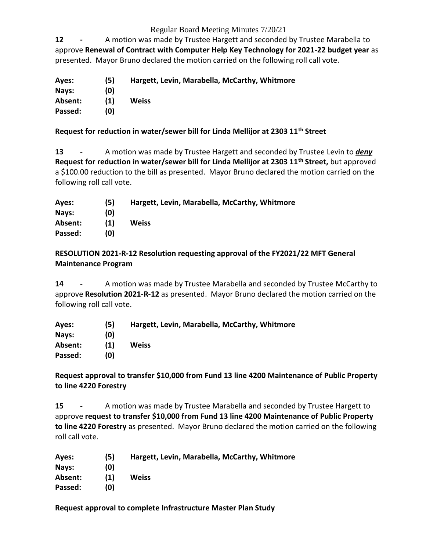**12 -** A motion was made by Trustee Hargett and seconded by Trustee Marabella to approve **Renewal of Contract with Computer Help Key Technology for 2021-22 budget year** as presented. Mayor Bruno declared the motion carried on the following roll call vote.

| Ayes:   | (5) | Hargett, Levin, Marabella, McCarthy, Whitmore |
|---------|-----|-----------------------------------------------|
| Nays:   | (0) |                                               |
| Absent: | (1) | Weiss                                         |
| Passed: | (0) |                                               |

## **Request for reduction in water/sewer bill for Linda Mellijor at 2303 11th Street**

**13 -** A motion was made by Trustee Hargett and seconded by Trustee Levin to *deny*  **Request for reduction in water/sewer bill for Linda Mellijor at 2303 11th Street,** but approved a \$100.00 reduction to the bill as presented. Mayor Bruno declared the motion carried on the following roll call vote.

| (5) | Hargett, Levin, Marabella, McCarthy, Whitmore |
|-----|-----------------------------------------------|
| (0) |                                               |
| (1) | Weiss                                         |
| (0) |                                               |
|     |                                               |

## **RESOLUTION 2021-R-12 Resolution requesting approval of the FY2021/22 MFT General Maintenance Program**

**14 -** A motion was made by Trustee Marabella and seconded by Trustee McCarthy to approve **Resolution 2021-R-12** as presented. Mayor Bruno declared the motion carried on the following roll call vote.

| Ayes:   | (5) | Hargett, Levin, Marabella, McCarthy, Whitmore |
|---------|-----|-----------------------------------------------|
| Nays:   | (0) |                                               |
| Absent: | (1) | Weiss                                         |
| Passed: | (0) |                                               |

**Request approval to transfer \$10,000 from Fund 13 line 4200 Maintenance of Public Property to line 4220 Forestry**

**15 -** A motion was made by Trustee Marabella and seconded by Trustee Hargett to approve **request to transfer \$10,000 from Fund 13 line 4200 Maintenance of Public Property to line 4220 Forestry** as presented. Mayor Bruno declared the motion carried on the following roll call vote.

| Ayes:   | (5) | Hargett, Levin, Marabella, McCarthy, Whitmore |
|---------|-----|-----------------------------------------------|
| Nays:   | (0) |                                               |
| Absent: | (1) | Weiss                                         |
| Passed: | (0) |                                               |

**Request approval to complete Infrastructure Master Plan Study**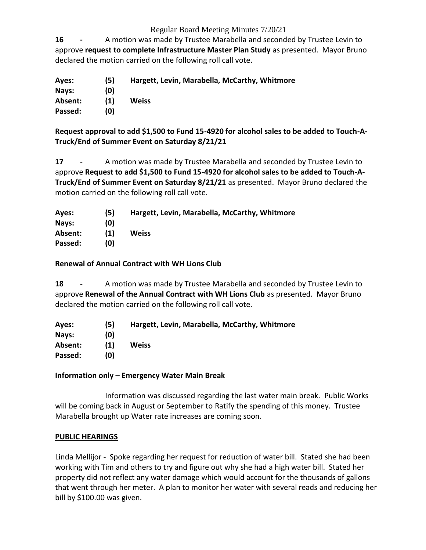**16 -** A motion was made by Trustee Marabella and seconded by Trustee Levin to approve **request to complete Infrastructure Master Plan Study** as presented. Mayor Bruno declared the motion carried on the following roll call vote.

| Ayes:   | (5) | Hargett, Levin, Marabella, McCarthy, Whitmore |
|---------|-----|-----------------------------------------------|
| Nays:   | (0) |                                               |
| Absent: | (1) | Weiss                                         |
| Passed: | (0) |                                               |

**Request approval to add \$1,500 to Fund 15-4920 for alcohol sales to be added to Touch-A-Truck/End of Summer Event on Saturday 8/21/21**

**17 -** A motion was made by Trustee Marabella and seconded by Trustee Levin to approve **Request to add \$1,500 to Fund 15-4920 for alcohol sales to be added to Touch-A-Truck/End of Summer Event on Saturday 8/21/21** as presented. Mayor Bruno declared the motion carried on the following roll call vote.

| Ayes:   | (5) | Hargett, Levin, Marabella, McCarthy, Whitmore |
|---------|-----|-----------------------------------------------|
| Nays:   | (0) |                                               |
| Absent: | (1) | Weiss                                         |
| Passed: | (0) |                                               |

## **Renewal of Annual Contract with WH Lions Club**

**18 -** A motion was made by Trustee Marabella and seconded by Trustee Levin to approve **Renewal of the Annual Contract with WH Lions Club** as presented. Mayor Bruno declared the motion carried on the following roll call vote.

| Ayes:   | (5) | Hargett, Levin, Marabella, McCarthy, Whitmore |
|---------|-----|-----------------------------------------------|
| Nays:   | (0) |                                               |
| Absent: | (1) | Weiss                                         |
| Passed: | (0) |                                               |

## **Information only – Emergency Water Main Break**

Information was discussed regarding the last water main break. Public Works will be coming back in August or September to Ratify the spending of this money. Trustee Marabella brought up Water rate increases are coming soon.

#### **PUBLIC HEARINGS**

Linda Mellijor - Spoke regarding her request for reduction of water bill. Stated she had been working with Tim and others to try and figure out why she had a high water bill. Stated her property did not reflect any water damage which would account for the thousands of gallons that went through her meter. A plan to monitor her water with several reads and reducing her bill by \$100.00 was given.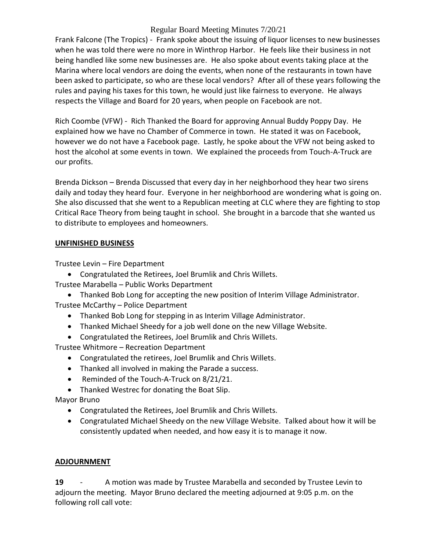Frank Falcone (The Tropics) - Frank spoke about the issuing of liquor licenses to new businesses when he was told there were no more in Winthrop Harbor. He feels like their business in not being handled like some new businesses are. He also spoke about events taking place at the Marina where local vendors are doing the events, when none of the restaurants in town have been asked to participate, so who are these local vendors? After all of these years following the rules and paying his taxes for this town, he would just like fairness to everyone. He always respects the Village and Board for 20 years, when people on Facebook are not.

Rich Coombe (VFW) - Rich Thanked the Board for approving Annual Buddy Poppy Day. He explained how we have no Chamber of Commerce in town. He stated it was on Facebook, however we do not have a Facebook page. Lastly, he spoke about the VFW not being asked to host the alcohol at some events in town. We explained the proceeds from Touch-A-Truck are our profits.

Brenda Dickson – Brenda Discussed that every day in her neighborhood they hear two sirens daily and today they heard four. Everyone in her neighborhood are wondering what is going on. She also discussed that she went to a Republican meeting at CLC where they are fighting to stop Critical Race Theory from being taught in school. She brought in a barcode that she wanted us to distribute to employees and homeowners.

## **UNFINISHED BUSINESS**

Trustee Levin – Fire Department

- Congratulated the Retirees, Joel Brumlik and Chris Willets.
- Trustee Marabella Public Works Department

 Thanked Bob Long for accepting the new position of Interim Village Administrator. Trustee McCarthy – Police Department

- Thanked Bob Long for stepping in as Interim Village Administrator.
- Thanked Michael Sheedy for a job well done on the new Village Website.
- Congratulated the Retirees, Joel Brumlik and Chris Willets.

Trustee Whitmore – Recreation Department

- Congratulated the retirees, Joel Brumlik and Chris Willets.
- Thanked all involved in making the Parade a success.
- Reminded of the Touch-A-Truck on 8/21/21.
- Thanked Westrec for donating the Boat Slip.

Mayor Bruno

- Congratulated the Retirees, Joel Brumlik and Chris Willets.
- Congratulated Michael Sheedy on the new Village Website. Talked about how it will be consistently updated when needed, and how easy it is to manage it now.

## **ADJOURNMENT**

**19** - A motion was made by Trustee Marabella and seconded by Trustee Levin to adjourn the meeting. Mayor Bruno declared the meeting adjourned at 9:05 p.m. on the following roll call vote: